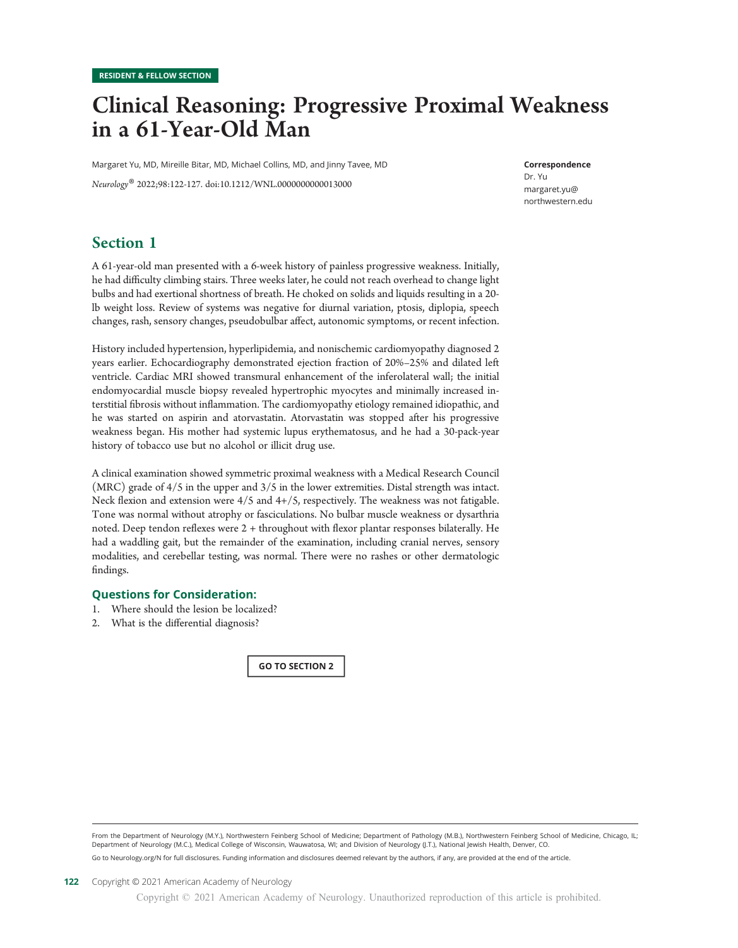## Clinical Reasoning: Progressive Proximal Weakness in a 61-Year-Old Man

Margaret Yu, MD, Mireille Bitar, MD, Michael Collins, MD, and Jinny Tavee, MD

Neurology® 2022;98:122-127. doi:10.1212/WNL.0000000000013000

Correspondence Dr. Yu [margaret.yu@](mailto:margaret.yu@northwestern.edu) [northwestern.edu](mailto:margaret.yu@northwestern.edu)

## Section 1

A 61-year-old man presented with a 6-week history of painless progressive weakness. Initially, he had difficulty climbing stairs. Three weeks later, he could not reach overhead to change light bulbs and had exertional shortness of breath. He choked on solids and liquids resulting in a 20 lb weight loss. Review of systems was negative for diurnal variation, ptosis, diplopia, speech changes, rash, sensory changes, pseudobulbar affect, autonomic symptoms, or recent infection.

History included hypertension, hyperlipidemia, and nonischemic cardiomyopathy diagnosed 2 years earlier. Echocardiography demonstrated ejection fraction of 20%–25% and dilated left ventricle. Cardiac MRI showed transmural enhancement of the inferolateral wall; the initial endomyocardial muscle biopsy revealed hypertrophic myocytes and minimally increased interstitial fibrosis without inflammation. The cardiomyopathy etiology remained idiopathic, and he was started on aspirin and atorvastatin. Atorvastatin was stopped after his progressive weakness began. His mother had systemic lupus erythematosus, and he had a 30-pack-year history of tobacco use but no alcohol or illicit drug use.

A clinical examination showed symmetric proximal weakness with a Medical Research Council (MRC) grade of 4/5 in the upper and 3/5 in the lower extremities. Distal strength was intact. Neck flexion and extension were 4/5 and 4+/5, respectively. The weakness was not fatigable. Tone was normal without atrophy or fasciculations. No bulbar muscle weakness or dysarthria noted. Deep tendon reflexes were 2 + throughout with flexor plantar responses bilaterally. He had a waddling gait, but the remainder of the examination, including cranial nerves, sensory modalities, and cerebellar testing, was normal. There were no rashes or other dermatologic findings.

#### Questions for Consideration:

- 1. Where should the lesion be localized?
- 2. What is the differential diagnosis?

GO TO SECTION 2

From the Department of Neurology (M.Y.), Northwestern Feinberg School of Medicine; Department of Pathology (M.B.), Northwestern Feinberg School of Medicine, Chicago, IL; Department of Neurology (M.C.), Medical College of Wisconsin, Wauwatosa, WI; and Division of Neurology (J.T.), National Jewish Health, Denver, CO.

Go to [Neurology.org/N](https://n.neurology.org/lookup/doi/10.1212/WNL.0000000000013000) for full disclosures. Funding information and disclosures deemed relevant by the authors, if any, are provided at the end of the article.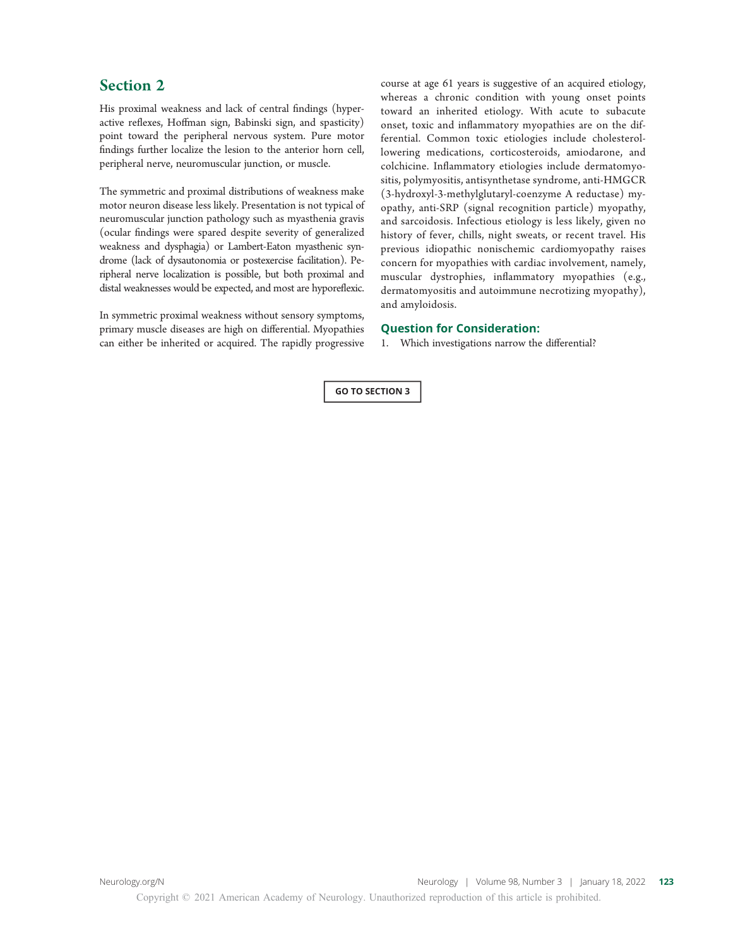His proximal weakness and lack of central findings (hyperactive reflexes, Hoffman sign, Babinski sign, and spasticity) point toward the peripheral nervous system. Pure motor findings further localize the lesion to the anterior horn cell, peripheral nerve, neuromuscular junction, or muscle.

The symmetric and proximal distributions of weakness make motor neuron disease less likely. Presentation is not typical of neuromuscular junction pathology such as myasthenia gravis (ocular findings were spared despite severity of generalized weakness and dysphagia) or Lambert-Eaton myasthenic syndrome (lack of dysautonomia or postexercise facilitation). Peripheral nerve localization is possible, but both proximal and distal weaknesses would be expected, and most are hyporeflexic.

In symmetric proximal weakness without sensory symptoms, primary muscle diseases are high on differential. Myopathies can either be inherited or acquired. The rapidly progressive

course at age 61 years is suggestive of an acquired etiology, whereas a chronic condition with young onset points toward an inherited etiology. With acute to subacute onset, toxic and inflammatory myopathies are on the differential. Common toxic etiologies include cholesterollowering medications, corticosteroids, amiodarone, and colchicine. Inflammatory etiologies include dermatomyositis, polymyositis, antisynthetase syndrome, anti-HMGCR (3-hydroxyl-3-methylglutaryl-coenzyme A reductase) myopathy, anti-SRP (signal recognition particle) myopathy, and sarcoidosis. Infectious etiology is less likely, given no history of fever, chills, night sweats, or recent travel. His previous idiopathic nonischemic cardiomyopathy raises concern for myopathies with cardiac involvement, namely, muscular dystrophies, inflammatory myopathies (e.g., dermatomyositis and autoimmune necrotizing myopathy), and amyloidosis.

#### Question for Consideration:

1. Which investigations narrow the differential?

GO TO SECTION 3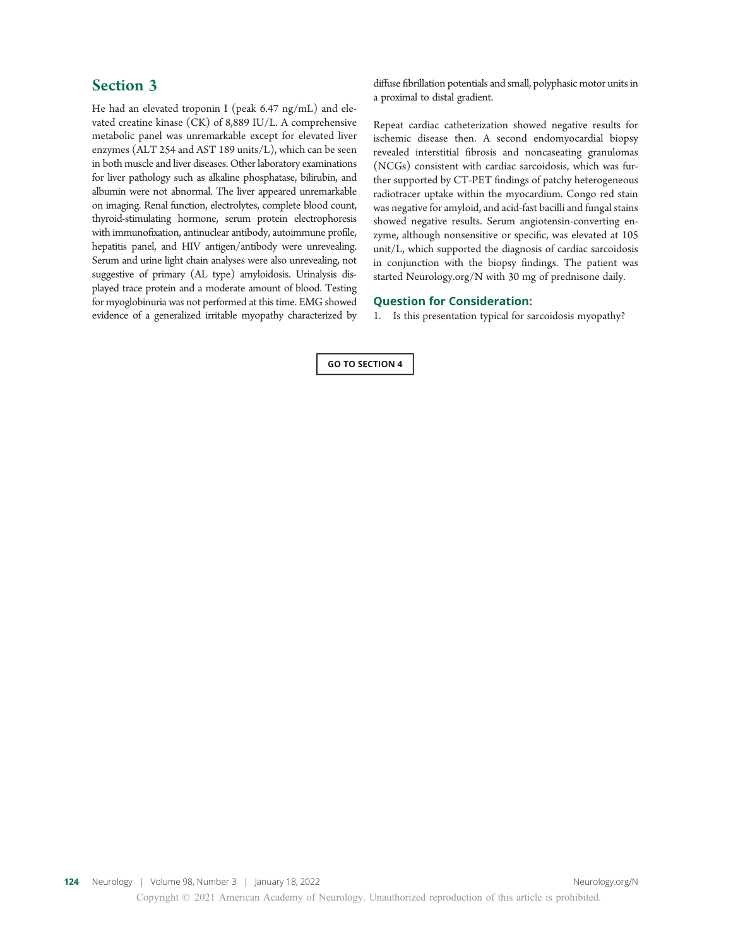He had an elevated troponin I (peak 6.47 ng/mL) and elevated creatine kinase (CK) of 8,889 IU/L. A comprehensive metabolic panel was unremarkable except for elevated liver enzymes (ALT 254 and AST 189 units/L), which can be seen in both muscle and liver diseases. Other laboratory examinations for liver pathology such as alkaline phosphatase, bilirubin, and albumin were not abnormal. The liver appeared unremarkable on imaging. Renal function, electrolytes, complete blood count, thyroid-stimulating hormone, serum protein electrophoresis with immunofixation, antinuclear antibody, autoimmune profile, hepatitis panel, and HIV antigen/antibody were unrevealing. Serum and urine light chain analyses were also unrevealing, not suggestive of primary (AL type) amyloidosis. Urinalysis displayed trace protein and a moderate amount of blood. Testing for myoglobinuria was not performed at this time. EMG showed evidence of a generalized irritable myopathy characterized by diffuse fibrillation potentials and small, polyphasic motor units in a proximal to distal gradient.

Repeat cardiac catheterization showed negative results for ischemic disease then. A second endomyocardial biopsy revealed interstitial fibrosis and noncaseating granulomas (NCGs) consistent with cardiac sarcoidosis, which was further supported by CT-PET findings of patchy heterogeneous radiotracer uptake within the myocardium. Congo red stain was negative for amyloid, and acid-fast bacilli and fungal stains showed negative results. Serum angiotensin-converting enzyme, although nonsensitive or specific, was elevated at 105 unit/L, which supported the diagnosis of cardiac sarcoidosis in conjunction with the biopsy findings. The patient was started [Neurology.org/N](https://n.neurology.org/lookup/doi/10.1212/WNL.0000000000013000) with 30 mg of prednisone daily.

#### Question for Consideration:

1. Is this presentation typical for sarcoidosis myopathy?

GO TO SECTION 4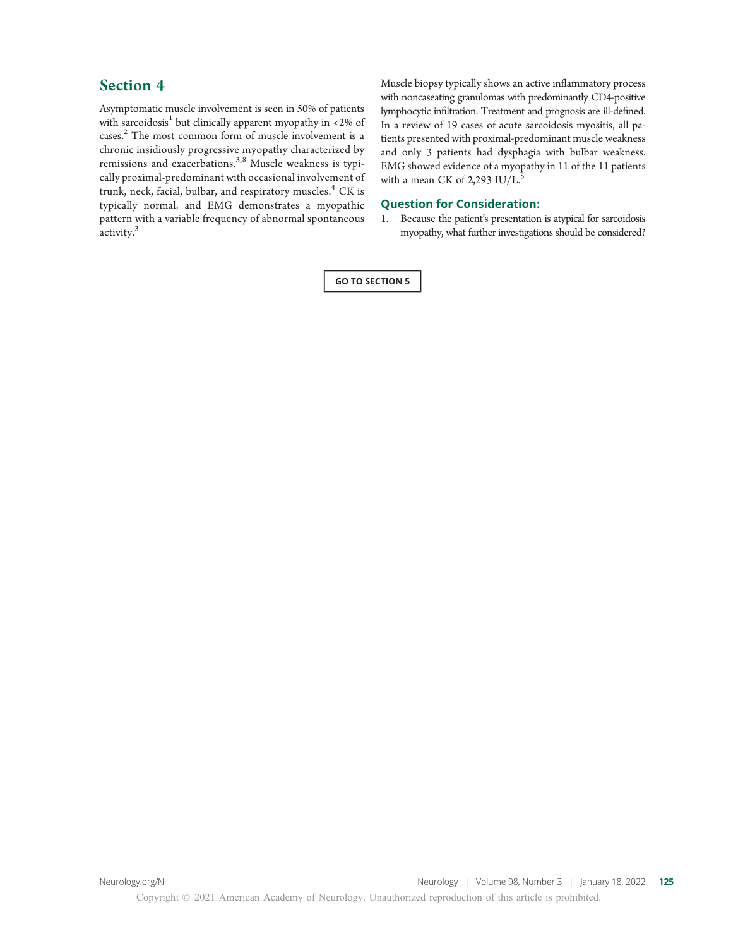Asymptomatic muscle involvement is seen in 50% of patients with sarcoidosis<sup>1</sup> but clinically apparent myopathy in <2% of cases.<sup>2</sup> The most common form of muscle involvement is a chronic insidiously progressive myopathy characterized by remissions and exacerbations.3,8 Muscle weakness is typically proximal-predominant with occasional involvement of trunk, neck, facial, bulbar, and respiratory muscles.<sup>4</sup> CK is typically normal, and EMG demonstrates a myopathic pattern with a variable frequency of abnormal spontaneous activity.<sup>3</sup>

Muscle biopsy typically shows an active inflammatory process with noncaseating granulomas with predominantly CD4-positive lymphocytic infiltration. Treatment and prognosis are ill-defined. In a review of 19 cases of acute sarcoidosis myositis, all patients presented with proximal-predominant muscle weakness and only 3 patients had dysphagia with bulbar weakness. EMG showed evidence of a myopathy in 11 of the 11 patients with a mean CK of 2,293 IU/L.<sup>5</sup>

#### Question for Consideration:

1. Because the patient's presentation is atypical for sarcoidosis myopathy, what further investigations should be considered?

GO TO SECTION 5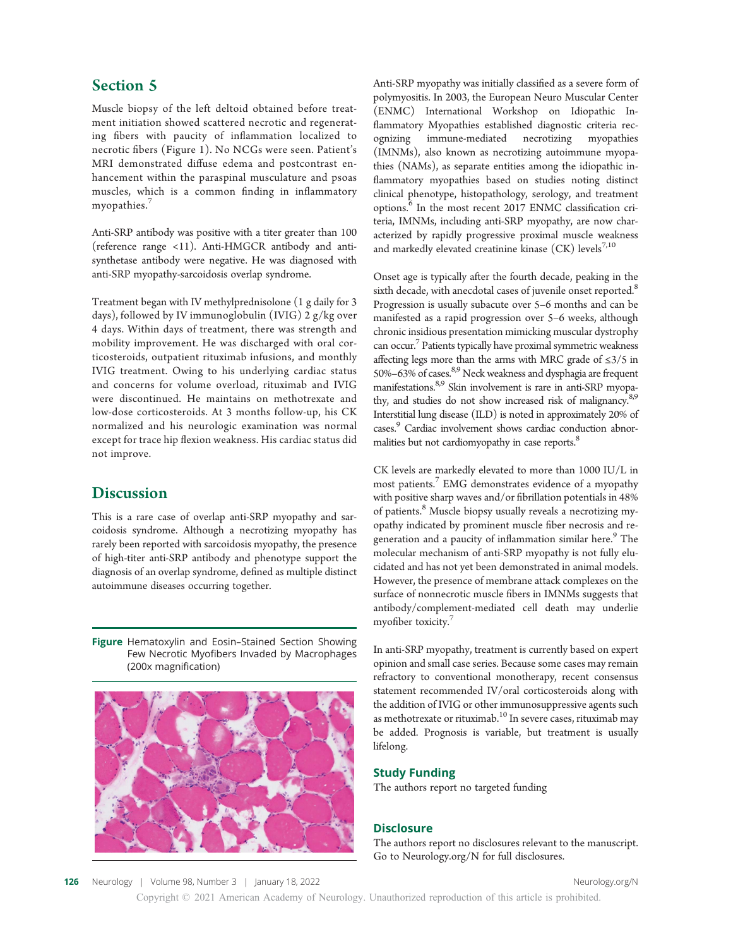Muscle biopsy of the left deltoid obtained before treatment initiation showed scattered necrotic and regenerating fibers with paucity of inflammation localized to necrotic fibers (Figure 1). No NCGs were seen. Patient's MRI demonstrated diffuse edema and postcontrast enhancement within the paraspinal musculature and psoas muscles, which is a common finding in inflammatory myopathies.<sup>7</sup>

Anti-SRP antibody was positive with a titer greater than 100 (reference range <11). Anti-HMGCR antibody and antisynthetase antibody were negative. He was diagnosed with anti-SRP myopathy-sarcoidosis overlap syndrome.

Treatment began with IV methylprednisolone (1 g daily for 3 days), followed by IV immunoglobulin (IVIG) 2 g/kg over 4 days. Within days of treatment, there was strength and mobility improvement. He was discharged with oral corticosteroids, outpatient rituximab infusions, and monthly IVIG treatment. Owing to his underlying cardiac status and concerns for volume overload, rituximab and IVIG were discontinued. He maintains on methotrexate and low-dose corticosteroids. At 3 months follow-up, his CK normalized and his neurologic examination was normal except for trace hip flexion weakness. His cardiac status did not improve.

## **Discussion**

This is a rare case of overlap anti-SRP myopathy and sarcoidosis syndrome. Although a necrotizing myopathy has rarely been reported with sarcoidosis myopathy, the presence of high-titer anti-SRP antibody and phenotype support the diagnosis of an overlap syndrome, defined as multiple distinct autoimmune diseases occurring together.

Figure Hematoxylin and Eosin-Stained Section Showing Few Necrotic Myofibers Invaded by Macrophages (200x magnification)



Anti-SRP myopathy was initially classified as a severe form of polymyositis. In 2003, the European Neuro Muscular Center (ENMC) International Workshop on Idiopathic Inflammatory Myopathies established diagnostic criteria recognizing immune-mediated necrotizing myopathies (IMNMs), also known as necrotizing autoimmune myopathies (NAMs), as separate entities among the idiopathic inflammatory myopathies based on studies noting distinct clinical phenotype, histopathology, serology, and treatment options.<sup>6</sup> In the most recent 2017 ENMC classification criteria, IMNMs, including anti-SRP myopathy, are now characterized by rapidly progressive proximal muscle weakness and markedly elevated creatinine kinase  $(CK)$  levels<sup>7,10</sup>

Onset age is typically after the fourth decade, peaking in the sixth decade, with anecdotal cases of juvenile onset reported.<sup>8</sup> Progression is usually subacute over 5–6 months and can be manifested as a rapid progression over 5–6 weeks, although chronic insidious presentation mimicking muscular dystrophy can occur.7 Patients typically have proximal symmetric weakness affecting legs more than the arms with MRC grade of ≤3/5 in 50%–63% of cases.<sup>8,9</sup> Neck weakness and dysphagia are frequent manifestations.<sup>8,9</sup> Skin involvement is rare in anti-SRP myopathy, and studies do not show increased risk of malignancy.<sup>8,9</sup> Interstitial lung disease (ILD) is noted in approximately 20% of cases.<sup>9</sup> Cardiac involvement shows cardiac conduction abnormalities but not cardiomyopathy in case reports.<sup>8</sup>

CK levels are markedly elevated to more than 1000 IU/L in most patients.<sup>7</sup> EMG demonstrates evidence of a myopathy with positive sharp waves and/or fibrillation potentials in 48% of patients.<sup>8</sup> Muscle biopsy usually reveals a necrotizing myopathy indicated by prominent muscle fiber necrosis and regeneration and a paucity of inflammation similar here.<sup>9</sup> The molecular mechanism of anti-SRP myopathy is not fully elucidated and has not yet been demonstrated in animal models. However, the presence of membrane attack complexes on the surface of nonnecrotic muscle fibers in IMNMs suggests that antibody/complement-mediated cell death may underlie myofiber toxicity.<sup>7</sup>

In anti-SRP myopathy, treatment is currently based on expert opinion and small case series. Because some cases may remain refractory to conventional monotherapy, recent consensus statement recommended IV/oral corticosteroids along with the addition of IVIG or other immunosuppressive agents such as methotrexate or rituximab.<sup>10</sup> In severe cases, rituximab may be added. Prognosis is variable, but treatment is usually lifelong.

## Study Funding

The authors report no targeted funding

#### **Disclosure**

The authors report no disclosures relevant to the manuscript. Go to [Neurology.org/N](https://n.neurology.org/lookup/doi/10.1212/WNL.0000000000013000) for full disclosures.

Copyright © 2021 American Academy of Neurology. Unauthorized reproduction of this article is prohibited.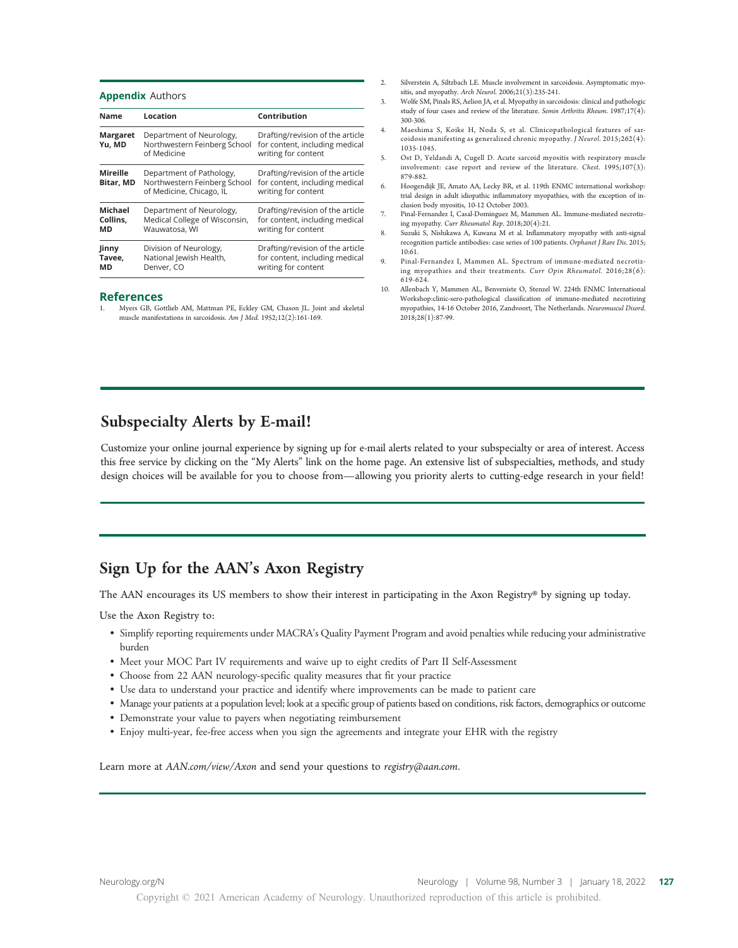#### Appendix Authors

| Name                             | Location                                                                             | Contribution                                                                              |
|----------------------------------|--------------------------------------------------------------------------------------|-------------------------------------------------------------------------------------------|
| <b>Margaret</b><br>Yu, MD        | Department of Neurology,<br>Northwestern Feinberg School<br>of Medicine              | Drafting/revision of the article<br>for content, including medical<br>writing for content |
| Mireille<br>Bitar, MD            | Department of Pathology,<br>Northwestern Feinberg School<br>of Medicine, Chicago, IL | Drafting/revision of the article<br>for content, including medical<br>writing for content |
| <b>Michael</b><br>Collins,<br>МD | Department of Neurology,<br>Medical College of Wisconsin,<br>Wauwatosa, WI           | Drafting/revision of the article<br>for content, including medical<br>writing for content |
| Jinny<br>Tavee,<br>МD            | Division of Neurology,<br>National Jewish Health,<br>Denver, CO                      | Drafting/revision of the article<br>for content, including medical<br>writing for content |

#### References

Myers GB, Gottlieb AM, Mattman PE, Eckley GM, Chason JL. Joint and skeletal muscle manifestations in sarcoidosis. Am J Med. 1952;12(2):161-169.

- 2. Silverstein A, Siltzbach LE. Muscle involvement in sarcoidosis. Asymptomatic myositis, and myopathy. Arch Neurol. 2006;21(3):235-241.
- 3. Wolfe SM, Pinals RS, Aelion JA, et al. Myopathy in sarcoidosis: clinical and pathologic study of four cases and review of the literature. Semin Arthritis Rheum. 1987;17(4): 300-306.
- 4. Maeshima S, Koike H, Noda S, et al. Clinicopathological features of sarcoidosis manifesting as generalized chronic myopathy. J Neurol. 2015;262(4): 1035-1045.
- 5. Ost D, Yeldandi A, Cugell D. Acute sarcoid myositis with respiratory muscle involvement: case report and review of the literature. Chest. 1995;107(3): 879-882.
- 6. Hoogendijk JE, Amato AA, Lecky BR, et al. 119th ENMC international workshop: trial design in adult idiopathic inflammatory myopathies, with the exception of inclusion body myositis, 10-12 October 2003.
- 7. Pinal-Fernandez I, Casal-Dominguez M, Mammen AL. Immune-mediated necrotizing myopathy. Curr Rheumatol Rep. 2018;20(4):21.
- 8. Suzuki S, Nishikawa A, Kuwana M et al. Inflammatory myopathy with anti-signal recognition particle antibodies: case series of 100 patients. Orphanet J Rare Dis. 2015; 10:61.
- 9. Pinal-Fernandez I, Mammen AL. Spectrum of immune-mediated necrotizing myopathies and their treatments. Curr Opin Rheumatol. 2016;28(6): 619-624.
- 10. Allenbach Y, Mammen AL, Benveniste O, Stenzel W. 224th ENMC International Workshop:clinic-sero-pathological classification of immune-mediated necrotizing myopathies, 14-16 October 2016, Zandvoort, The Netherlands. Neuromuscul Disord. 2018;28(1):87-99.

## Subspecialty Alerts by E-mail!

Customize your online journal experience by signing up for e-mail alerts related to your subspecialty or area of interest. Access this free service by clicking on the "My Alerts" link on the home page. An extensive list of subspecialties, methods, and study design choices will be available for you to choose from—allowing you priority alerts to cutting-edge research in your field!

## Sign Up for the AAN's Axon Registry

The AAN encourages its US members to show their interest in participating in the Axon Registry® by signing up today.

Use the Axon Registry to:

- Simplify reporting requirements under MACRA's Quality Payment Program and avoid penalties while reducing your administrative burden
- Meet your MOC Part IV requirements and waive up to eight credits of Part II Self-Assessment
- Choose from 22 AAN neurology-specific quality measures that fit your practice
- Use data to understand your practice and identify where improvements can be made to patient care
- Manage your patients at a population level; look at a specific group of patients based on conditions, risk factors, demographics or outcome
- Demonstrate your value to payers when negotiating reimbursement
- Enjoy multi-year, fee-free access when you sign the agreements and integrate your EHR with the registry

Learn more at AAN.com/view/Axon and send your questions to registry@aan.com.

Copyright © 2021 American Academy of Neurology. Unauthorized reproduction of this article is prohibited.